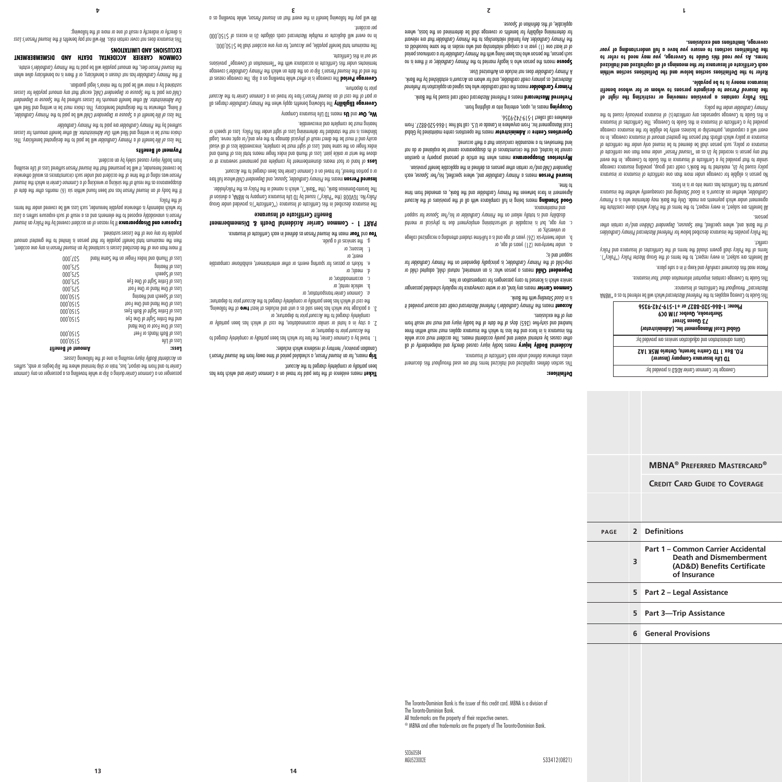**Definitions:**

any of the exclusions.

si pup poddns

to time.

or university, or

*Aludg eqt quim Suipupic poog ul sings* 

under twenty-one (21) years of age, or a.

This section defines capitalized and italiant are used that also the document this document

**Accidental Bodily Injury** moans bodily injury caused directly bno phapanently of all other causes by external violent and purely accidental means. The accident must occur while this insurance is in force and the loss to which their and the insult with three mundred ond sixty-five (365) days of the data the bodily inductional that the body from particle in

**Creditional cardit carding it account of** *Preferred Mastercard* **credit card account provided it** 

means any land, air or water conveyance for regularly scheduled passenger **Common Carrier**

Dependent Child means a person who: is an unmarried, natural child, adopted child or for *Primary Cardholder* ; is principally dependent on the *Primary Cardholder* step-child of the

b. under twenty-six (26) years of age and is a full-time semilator and independence delege

any age, but is incapable of self-sustaining employment due to physical or mental c. tooqque tot sexvoq2 terl\zid to yeblorthro*y y*nomiy ent no tnoiler yllotot zi bno ytilidozib.<br>and maintenance. Good Standing means being in full compliance with all of the provisions of the Account Agreement in force between the Primary Cardholder and the Bank, as amended from time

**pranted Person** means a Primary Cardholder and, where specified, his/her Spouse, each bependent Child and/or certain other persons as defined in the applicable benefit provision. **Mysterious Disappearance** means when the article of personal property in question cannot be located, and the circumstances of its disappearance cannot be explained or do not

Dperations Centre or Administrator means the operations centre maintained by Global Excel Management Inc. From anywhere in Canada or U.S. call toll free 1-866-520-8827. From

**Preferred Mastercard** means a Preferred Mastercard credit card issued by the Bank. **Primary Cardholder** means the credit cardholder who has signed an application for Preferred hare established, as primary credit cardholder, and tor whom an *Account* is established by the Bank.

**Spouse** means the person who is legally married to the Primary Cardholder, or it there is no for a contituous period on the period primary cardinal superferiance and period period of at least one (1) year in a conjugal relationship and who resides in the same household as that *Primary Cardholder* Any familial relationships to the *Primary Cardholder* that are relevant for determining eligibility for benefits or coverage shall be determined on the basis, where

unless otherwise defined under each Certificate of Insurance.

service which is licensed to carry passengers for compensation or hire.

lend themselves to a reasonable conclusion that a theft occurred.

means in, upon, entering into or alighting from. **Occupying**

does not include an Authorized User. *Primary Cardholder* A

elsewhere call collect 1-519-742-9356.

. Sevonge to montimited and the sector

The Toronto-Dominion Bank is the issuer of this credit card. MBNA is a division of The Toronto-Dominion Bank.

**4 3 2 1**

Ticket means evidence of the fare paid fare has a common Carrier and which fare has

*Insured Person's* , a scheduled period of time away from the *Insured Person* means, for an **Trip**

1. travel by a Common Carrier, the fare for which has been partially or completely charged to

2. a stay in a hotel or similar accommodation, the cost of which has been partially or

3. a package tour which has been sold as a unit and includes at least **two** of the following, prior to depart to departually or completely charged to the Account prior to departure:

e. tickets or passes for sporting events or other entertainment, exhibitioner comparable

**as defined in each period** *Person* as a logined in each Certificate of Insurance. **PART 1 - Common Carrier Accidental Death & Dismemberment Benefit Certificate of Insurance** The insurance described in this Certificate of Insurance ("Certificate")is provided under Group No. TGV008 (the "Policy") issued by TD Life Insurance Company to MBNA, a division of *Policy* The Toronto-Dominion Bank, (the "Bank"), which is named in the Policy as the Policyholder. **hrsured Person** means the Primary Cardholder, Spouse, and Dependent Child whose full fare or a portion thereof, for travel on a Cormmon Carrier hose a begine to the Account. of hand or foot means dismemberment by complete and permanent severance at or **Loss** above the wrist or ankle joint and writing the writing index finite loss of thumb and independent of the stop and index for the stop and index for the stop and index of the stop and index stop and index stop and index stop index finger on the same hand. Loss of sight must be complete, irrecoverable loss of all visual acuity and it must be the direct result of physical damage to the eye and/or optic nerve. Legal blindness is not the standard for determining Loss of sight under this Policy. Loss of speech or

Coverage Eligibily The following benefits apply when the Primary Cardholder charges all or part of the *cost* of an *Insured* Person's fare for the level on a *Carrier* of the Account

. The coverage ceases at *Trip* The coverage is in effect while travelling on a **Coverage Period** coverage *Primary Cardholder's* or on the date on which the *Trip Insured Person's* the end of the terminates under this Certificate in accordance with the "Termination of Coverage" provisions

,  $0.00$ ,  $0$  c)  $\leq$  150,000. Per shall be  $\sim$  100,000. The maximum total benefit pay of  $0.000$ . in no event will auplicate of multiple mastercard cards opligate *us* in excess of  $\gtrsim 150,000$ 

We will pay the following benefit in the event that an abused Person, while travelling as a

been partially or completely charged to the Account.

prior to departure; or *Account* the

transportation; or *Common Carrier a.*

hearing must be complete and irrecoverable. We, Our and Us means TD Life Insurance Company

prior to departure.

set out in this Lettificate.

per accident.

b. vehicle rental; or c. accommodation; or q<sup>.</sup> ueap? or

event; or lessons; or g. the services of a guide.

Canadian province/ territory of residence which includes:

completely charged to the Account prior to departure; or

All trade-marks are the property of their respective owners.

® MBNA and other trade-marks are the property of The Toronto-Dominion Bank.

50360584

**13 14**

*Common* or while travelling as a passenger on any *Trip* during a *Common Carrier* passenger on a Carrier to the from the and the riport, bus, tripped and the fingle or ends, suffers

 in any one accident, *Insured Person* is sustained by an *Losses* If more than one of the described then the maximum total benefit payable for that person is in the deaps and the greatest amount

**Exposure and Disappearance** If by reason of an accident covered by the Policy an *Insured Loss* is unavoidably exposed to the elements and as a result of such exposure suffers a *Person* for which indemnity is otherwise payable hereunder, such Loss will be covered under the terms

he stop of our bean found been found within size of *Insured person* in the data in the date of  $\frac{1}{2}$ Insure of the *Insurer* of the sinking or wrecking of a Common Carrier in which the Insured was riding at the time of the accident and under such circumstances as would otherwise *Person* pe covered pereunder, it will be presumed that the *Insured Person* suffered Loss of Life resulting

The *loss of life beneficial of a Primary Cardholder will be pips of lime to designated beneficially carding this* choice must be in writing and *nihi our Administrator.* All other benefit amounts for Losses

The *Iosa Cardhold Benefit of Deponent Child being to the paid of the <i>Pinony Cardholder*, if living, being the designational beneficiary. This choice must be in writing be in with this period with *Dependent* or *Spouse* suffered by the *Losses* . All other benefit amounts for *Our Administrator Losses* , except that any amount payable for *Dependent Child* or *Spouse* are paid to the *Child*

If the Primary Cardholder has not chosen a beneficiary, or if there is no beneficiary quive when estate. *Primary Cardholder's* dies, the amount payable will be paid to the *Insured Person* the **COMMON CARRIER ACCIDENTAL DEATH AND DISMEMBERMENT** 

*Ihis insured Aerson's Lossica benefits if the Me will not pay benefits if the <i>Insural Berson's Loss* 

*Primary Cardholder* are paid to the *Primary Cardholder* 

sustained by a minor will be paid to the minor's legal guardian.

is directly or indirectly a result of one or more of the following:

**EXCLUSIONS AND LIMITATIONS**

: *Losses* resulting in one of the following *Accidental Bodily Injury* an **Amount of Benefit Loss:**   $0.000001\zeta$  and  $0.000001\zeta$ \$150,000 Loss of Both Hands or Feet

 $\frac{1}{5}$  and the Entire Sight of One Eye  $\frac{1}{5}$  and  $\frac{1}{5}$  or  $\frac{1}{5}$  of  $\frac{1}{5}$  or  $\frac{1}{5}$  or  $\frac{1}{5}$  or  $\frac{1}{5}$  or  $\frac{1}{5}$  or  $\frac{1}{5}$  or  $\frac{1}{5}$  or  $\frac{1}{5}$  or  $\frac{1}{5}$  or  $\frac{1}{5}$  or  $\frac{1}{5}$ \$150,000 Loss of Entire Sight of Both Eyes \$150,000,000 Dne hand and Dne Foot of One Story of One Control of One Control of One Control of One Control of O  $15000'0515$  buine buying the starting of  $\sim 2000$  $100 \div 75$  and  $100 \div 100$  or  $100 \div 100$  or  $100 \div 75$ Loss of Entire Sight of One Eye post of Sheech Contracts of SNS of Speech Contracts of SNS of SNS of SNS of SNS of SNS of SNS of SNS of SNS of SNS of SNS of SNS of SNS of SNS of SNS of SNS of SNS of SNS of SNS of SNS of SNS of SNS of SNS of SNS of SNS of  $\frac{1}{2}$ ,000 $\frac{1}{2}$ ,  $\frac{1}{2}$ ,  $\frac{1}{2}$ ,  $\frac{1}{2}$ ,  $\frac{1}{2}$ ,  $\frac{1}{2}$ ,  $\frac{1}{2}$ ,  $\frac{1}{2}$ ,  $\frac{1}{2}$ ,  $\frac{1}{2}$ ,  $\frac{1}{2}$ ,  $\frac{1}{2}$ ,  $\frac{1}{2}$ ,  $\frac{1}{2}$ ,  $\frac{1}{2}$ ,  $\frac{1}{2}$ ,  $\frac{1}{2}$ ,  $\frac{1}{2}$ ,  $\frac{1}{2}$ , Loss of Thumb and Index Finger on the Same Hand CoOC, CoOC, CoOC

Loss of One Foot or One Hand

payable for any one of the Losses sustined.

from bodily injury caused solely by an accident.

**Payment of Benefits**

of the Policy.

**5 Part 2 – Legal Assistance 5 Part 3—Trip Assistance**

**6 General Provisions**

**3 Part 1 – Common Carrier Accidental Death and Dismemberment (AD&D) Benefits Certificate of Insurance**

**page 2 Definitions**

**Credit Card Guide to Coverage**

**MBNA® Preferred Mastercard®**

Coverage for: Common Carrier AD&D is provided by:

**TD Life Insurance Company (Insurer)**

**P.O. Box 1 TD Centre Toronto, Ontario M5K 1A2**

Claims administration and adjudication services are provided by:

**)** *Administrator* **Global Excel Management Inc. (**

**73 Queen Street**

**Sherbrooke, Quebec J1M 0C9**

**Phone: 1-866-520-8827 or +1-519-742-9356**

Preferred to coverag earlies to the referred *Mensistally* be referred to as a spin basid of a "ANBM" as a contained and  $\mathbb{R}^n$ 

All benefits are subject, in every respect, to the terms of the Group Master Policy ("Policy"). Terms of the Policy shall govern should the terms of the Certificates of Insurance and Policy

Preferred Master and Provides the insurance described below for providers and primary Cardholders of the Bank and, where specified, tiert Spouses, dependent Children and/or certain other

All benefits are subject, in every respect, to the terms of the Policy which alone constitute the *Primary* agreement under which payments are made. Only the Bank may determine who is a Cardholder, whether an Account is in Good Standing and consequently whether the insurance

No person is eligible for coverage under more than one certificate of insurance or insurance policy issued by Us, marketed to the Bank's credit card group, providing insurance coverage similar to that provided by a Certificate of Insurance in this Guide to Coverage. In the event To etcorded by *U*s as an *about worsed beings* on *a* certificate of the recordination one certificate of insurance or policy, such person shall be deemed to be insured only under the certificate of insurance or policy which affords that person the greatest amount of insurance coverage. In no event will a corporation, partnership or business entity be eligible for the insurance coverage provided by a Certificate of Insurance in this Guide to Coverage. The Certificates of Insurance in this Guide to Coverage supersedes any certificate(s) of insurance previously issued to the

**This Policy contains a provision removing or restricting the right of**  *tionaried* Person to designate persons to whom or for whose benefit

**Refer to the Definitions section below and the Definitions section within each Certificate of Insurance for the meanings of all capitalized and italicized may need to refer to** *you* **read this Guide to Coverage,** *you* **terms. As**  *your* **have a full understanding of** *you* **the Definitions sections to ensure** 

Mastercard" throughout the Certificates of Insurance:

pursuant to this Certificate has come into the issue of the constant

Primary Cardholder under the policy.

**insurance money is to be payable.**

**coverage, limitations and exclusions.** 

conflict.

persons.

Please read this document carefully and keep it in a safe place.

This Guide to Coverage cantains introduct into the Auriance.